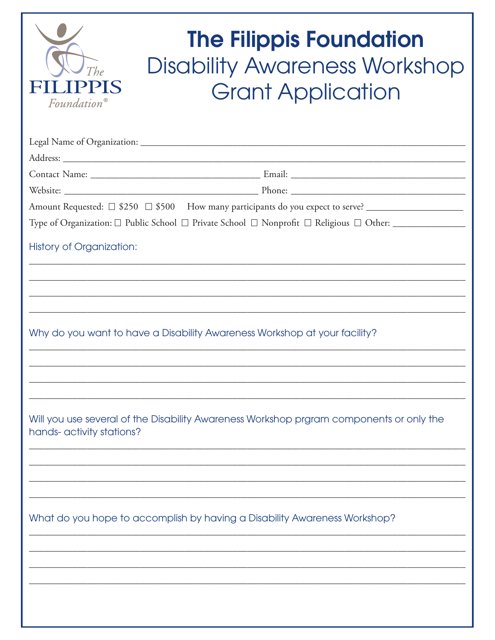| <i>Foundation</i> <sup>®</sup> | <b>The Filippis Foundation</b><br><b>Disability Awareness Workshop</b><br><b>Grant Application</b>    |
|--------------------------------|-------------------------------------------------------------------------------------------------------|
|                                |                                                                                                       |
|                                |                                                                                                       |
|                                |                                                                                                       |
|                                |                                                                                                       |
|                                | Amount Requested: □ \$250 □ \$500 How many participants do you expect to serve? _____________________ |
|                                | Type of Organization: □ Public School □ Private School □ Nonprofit □ Religious □ Other: ____________  |
| History of Organization:       |                                                                                                       |
|                                | Why do you want to have a Disability Awareness Workshop at your facility?                             |
| hands- activity stations?      | Will you use several of the Disability Awareness Workshop prgram components or only the               |
|                                | What do you hope to accomplish by having a Disability Awareness Workshop?                             |
|                                |                                                                                                       |